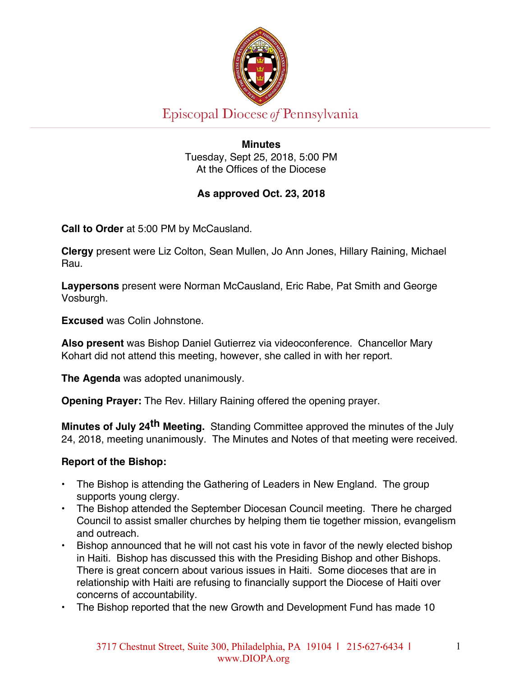

Episcopal Diocese of Pennsylvania

**Minutes** Tuesday, Sept 25, 2018, 5:00 PM At the Offices of the Diocese

# **As approved Oct. 23, 2018**

**Call to Order** at 5:00 PM by McCausland.

**Clergy** present were Liz Colton, Sean Mullen, Jo Ann Jones, Hillary Raining, Michael Rau.

**Laypersons** present were Norman McCausland, Eric Rabe, Pat Smith and George Vosburgh.

**Excused** was Colin Johnstone.

**Also present** was Bishop Daniel Gutierrez via videoconference. Chancellor Mary Kohart did not attend this meeting, however, she called in with her report.

**The Agenda** was adopted unanimously.

**Opening Prayer:** The Rev. Hillary Raining offered the opening prayer.

**Minutes of July 24th Meeting.** Standing Committee approved the minutes of the July 24, 2018, meeting unanimously. The Minutes and Notes of that meeting were received.

### **Report of the Bishop:**

- The Bishop is attending the Gathering of Leaders in New England. The group supports young clergy.
- The Bishop attended the September Diocesan Council meeting. There he charged Council to assist smaller churches by helping them tie together mission, evangelism and outreach.
- Bishop announced that he will not cast his vote in favor of the newly elected bishop in Haiti. Bishop has discussed this with the Presiding Bishop and other Bishops. There is great concern about various issues in Haiti. Some dioceses that are in relationship with Haiti are refusing to financially support the Diocese of Haiti over concerns of accountability.
- The Bishop reported that the new Growth and Development Fund has made 10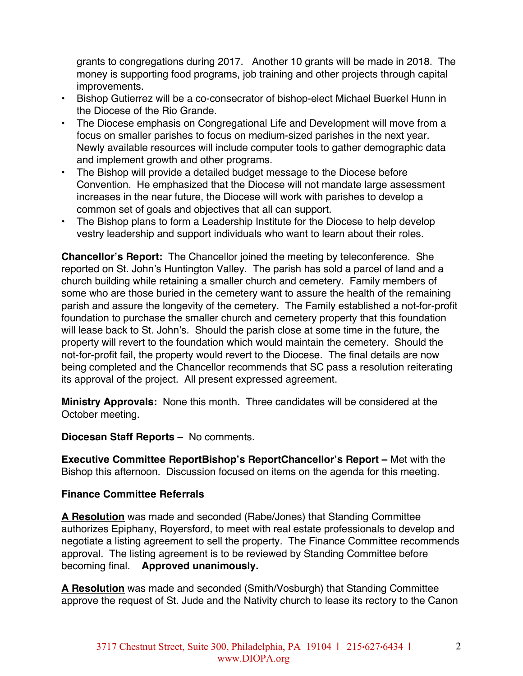grants to congregations during 2017. Another 10 grants will be made in 2018. The money is supporting food programs, job training and other projects through capital improvements.

- Bishop Gutierrez will be a co-consecrator of bishop-elect Michael Buerkel Hunn in the Diocese of the Rio Grande.
- The Diocese emphasis on Congregational Life and Development will move from a focus on smaller parishes to focus on medium-sized parishes in the next year. Newly available resources will include computer tools to gather demographic data and implement growth and other programs.
- The Bishop will provide a detailed budget message to the Diocese before Convention. He emphasized that the Diocese will not mandate large assessment increases in the near future, the Diocese will work with parishes to develop a common set of goals and objectives that all can support.
- The Bishop plans to form a Leadership Institute for the Diocese to help develop vestry leadership and support individuals who want to learn about their roles.

**Chancellor's Report:** The Chancellor joined the meeting by teleconference. She reported on St. John's Huntington Valley. The parish has sold a parcel of land and a church building while retaining a smaller church and cemetery. Family members of some who are those buried in the cemetery want to assure the health of the remaining parish and assure the longevity of the cemetery. The Family established a not-for-profit foundation to purchase the smaller church and cemetery property that this foundation will lease back to St. John's. Should the parish close at some time in the future, the property will revert to the foundation which would maintain the cemetery. Should the not-for-profit fail, the property would revert to the Diocese. The final details are now being completed and the Chancellor recommends that SC pass a resolution reiterating its approval of the project. All present expressed agreement.

**Ministry Approvals:** None this month. Three candidates will be considered at the October meeting.

**Diocesan Staff Reports** – No comments.

**Executive Committee ReportBishop's ReportChancellor's Report –** Met with the Bishop this afternoon. Discussion focused on items on the agenda for this meeting.

### **Finance Committee Referrals**

**A Resolution** was made and seconded (Rabe/Jones) that Standing Committee authorizes Epiphany, Royersford, to meet with real estate professionals to develop and negotiate a listing agreement to sell the property. The Finance Committee recommends approval. The listing agreement is to be reviewed by Standing Committee before becoming final. **Approved unanimously.**

**A Resolution** was made and seconded (Smith/Vosburgh) that Standing Committee approve the request of St. Jude and the Nativity church to lease its rectory to the Canon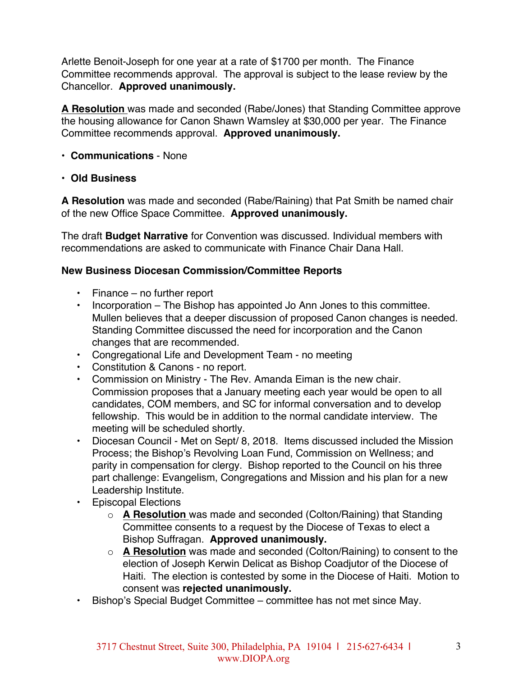Arlette Benoit-Joseph for one year at a rate of \$1700 per month. The Finance Committee recommends approval. The approval is subject to the lease review by the Chancellor. **Approved unanimously.**

**A Resolution** was made and seconded (Rabe/Jones) that Standing Committee approve the housing allowance for Canon Shawn Wamsley at \$30,000 per year. The Finance Committee recommends approval. **Approved unanimously.**

- **Communications**  None
- **Old Business**

**A Resolution** was made and seconded (Rabe/Raining) that Pat Smith be named chair of the new Office Space Committee. **Approved unanimously.**

The draft **Budget Narrative** for Convention was discussed. Individual members with recommendations are asked to communicate with Finance Chair Dana Hall.

## **New Business Diocesan Commission/Committee Reports**

- Finance no further report
- Incorporation The Bishop has appointed Jo Ann Jones to this committee. Mullen believes that a deeper discussion of proposed Canon changes is needed. Standing Committee discussed the need for incorporation and the Canon changes that are recommended.
- Congregational Life and Development Team no meeting
- Constitution & Canons no report.
- Commission on Ministry The Rev. Amanda Eiman is the new chair. Commission proposes that a January meeting each year would be open to all candidates, COM members, and SC for informal conversation and to develop fellowship. This would be in addition to the normal candidate interview. The meeting will be scheduled shortly.
- Diocesan Council Met on Sept/ 8, 2018. Items discussed included the Mission Process; the Bishop's Revolving Loan Fund, Commission on Wellness; and parity in compensation for clergy. Bishop reported to the Council on his three part challenge: Evangelism, Congregations and Mission and his plan for a new Leadership Institute.
- Episcopal Elections
	- o **A Resolution** was made and seconded (Colton/Raining) that Standing Committee consents to a request by the Diocese of Texas to elect a Bishop Suffragan. **Approved unanimously.**
	- o **A Resolution** was made and seconded (Colton/Raining) to consent to the election of Joseph Kerwin Delicat as Bishop Coadjutor of the Diocese of Haiti. The election is contested by some in the Diocese of Haiti. Motion to consent was **rejected unanimously.**
- Bishop's Special Budget Committee committee has not met since May.